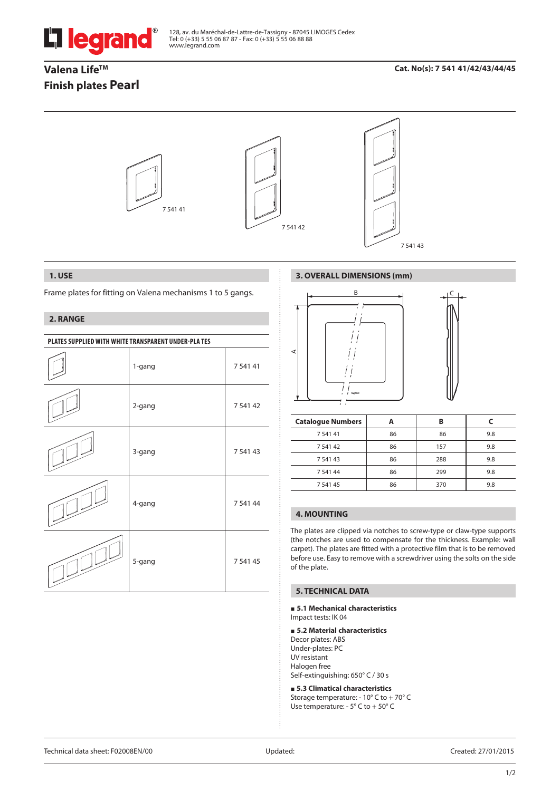

128, av. du Maréchal-de-Lattre-de-Tassigny - 87045 LIMOGES Cedex Tel: 0 (+33) 5 55 06 87 87 - Fax: 0 (+33) 5 55 06 88 88 www.legrand.com

# Valena Life<sup>™</sup> **Finish plates Pearl**

# **Cat. No(s): 7 541 41/42/43/44/45**



### **1. USE**

Frame plates for fitting on Valena mechanisms 1 to 5 gangs.

## **2. RANGE**

| PLATES SUPPLIED WITH WHITE TRANSPARENT UNDER-PLATES |        |             |  |
|-----------------------------------------------------|--------|-------------|--|
|                                                     | 1-gang | 7 5 4 1 4 1 |  |
|                                                     | 2-gang | 7 541 42    |  |
|                                                     | 3-gang | 7 541 43    |  |
|                                                     | 4-gang | 7 541 44    |  |
|                                                     | 5-gang | 7 541 45    |  |

# **3. OVERALL DIMENSIONS (mm)**



| <b>Catalogue Numbers</b> |    | B   |     |
|--------------------------|----|-----|-----|
| 7 541 41                 | 86 | 86  | 9.8 |
| 7 541 42                 | 86 | 157 | 9.8 |
| 7 541 43                 | 86 | 288 | 9.8 |
| 7 541 44                 | 86 | 299 | 9.8 |
| 7 541 45                 | 86 | 370 | 9.8 |

# **4. MOUNTING**

The plates are clipped via notches to screw-type or claw-type supports (the notches are used to compensate for the thickness. Example: wall carpet). The plates are fitted with a protective film that is to be removed before use. Easy to remove with a screwdriver using the solts on the side of the plate.

## **5. TECHNICAL DATA**

#### **5.1 Mechanical characteristics** Impact tests: IK 04

### **5.2 Material characteristics**

Decor plates: ABS Under-plates: PC UV resistant Halogen free Self-extinguishing: 650° C / 30 s

 **5.3 Climatical characteristics** Storage temperature: - 10° C to + 70° C Use temperature: - 5° C to + 50° C

Technical data sheet: F02008EN/00 Updated: Created: 27/01/2015